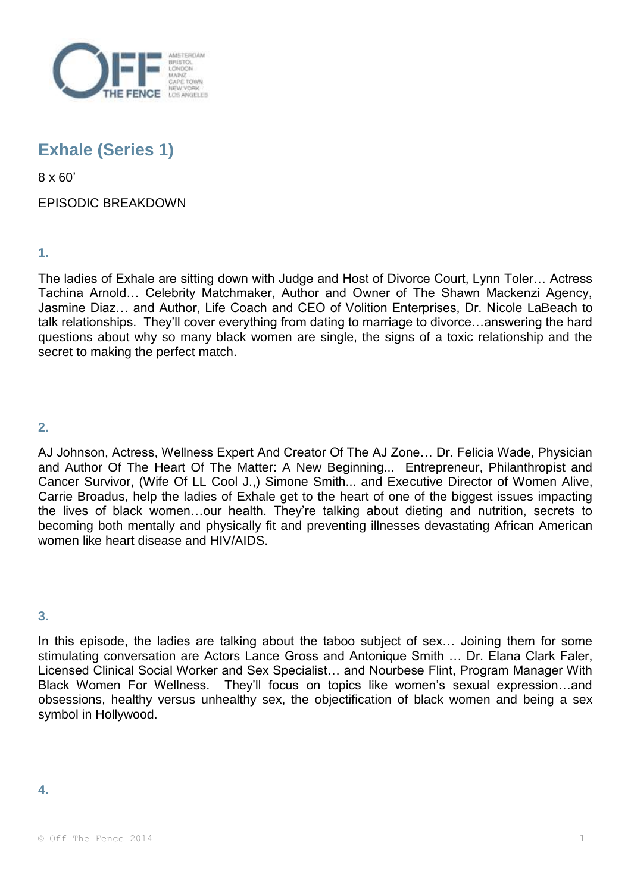

# **Exhale (Series 1)**

8 x 60'

# EPISODIC BREAKDOWN

**1.** 

The ladies of Exhale are sitting down with Judge and Host of Divorce Court, Lynn Toler… Actress Tachina Arnold… Celebrity Matchmaker, Author and Owner of The Shawn Mackenzi Agency, Jasmine Diaz… and Author, Life Coach and CEO of Volition Enterprises, Dr. Nicole LaBeach to talk relationships. They'll cover everything from dating to marriage to divorce…answering the hard questions about why so many black women are single, the signs of a toxic relationship and the secret to making the perfect match.

# **2.**

AJ Johnson, Actress, Wellness Expert And Creator Of The AJ Zone… Dr. Felicia Wade, Physician and Author Of The Heart Of The Matter: A New Beginning... Entrepreneur, Philanthropist and Cancer Survivor, (Wife Of LL Cool J.,) Simone Smith... and Executive Director of Women Alive, Carrie Broadus, help the ladies of Exhale get to the heart of one of the biggest issues impacting the lives of black women…our health. They're talking about dieting and nutrition, secrets to becoming both mentally and physically fit and preventing illnesses devastating African American women like heart disease and HIV/AIDS.

**3.** 

In this episode, the ladies are talking about the taboo subject of sex... Joining them for some stimulating conversation are Actors Lance Gross and Antonique Smith … Dr. Elana Clark Faler, Licensed Clinical Social Worker and Sex Specialist… and Nourbese Flint, Program Manager With Black Women For Wellness. They'll focus on topics like women's sexual expression…and obsessions, healthy versus unhealthy sex, the objectification of black women and being a sex symbol in Hollywood.

#### **4.**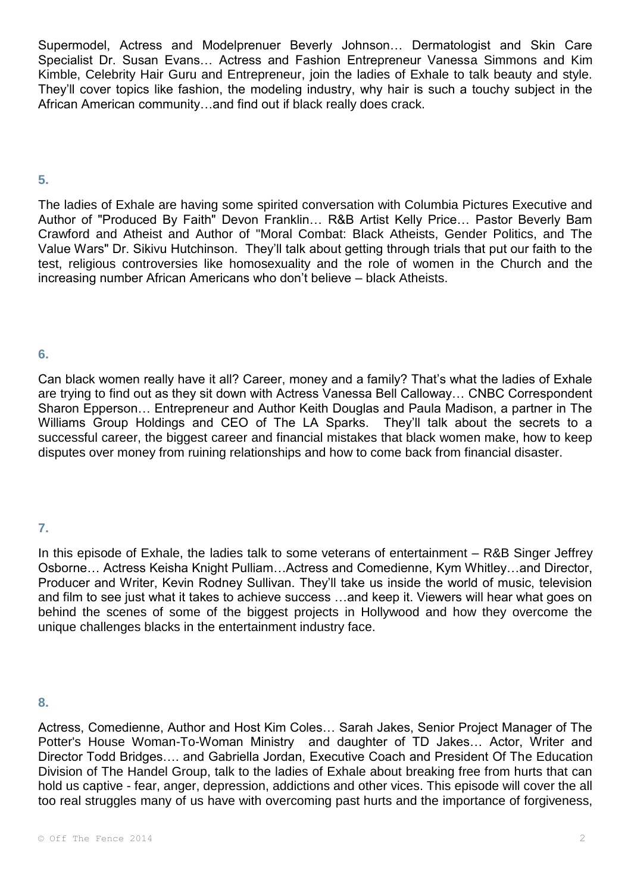Supermodel, Actress and Modelprenuer Beverly Johnson… Dermatologist and Skin Care Specialist Dr. Susan Evans… Actress and Fashion Entrepreneur Vanessa Simmons and Kim Kimble, Celebrity Hair Guru and Entrepreneur, join the ladies of Exhale to talk beauty and style. They'll cover topics like fashion, the modeling industry, why hair is such a touchy subject in the African American community…and find out if black really does crack.

#### **5.**

The ladies of Exhale are having some spirited conversation with Columbia Pictures Executive and Author of "Produced By Faith" Devon Franklin… R&B Artist Kelly Price… Pastor Beverly Bam Crawford and Atheist and Author of "Moral Combat: Black Atheists, Gender Politics, and The Value Wars" Dr. Sikivu Hutchinson. They'll talk about getting through trials that put our faith to the test, religious controversies like homosexuality and the role of women in the Church and the increasing number African Americans who don't believe – black Atheists.

# **6.**

Can black women really have it all? Career, money and a family? That's what the ladies of Exhale are trying to find out as they sit down with Actress Vanessa Bell Calloway… CNBC Correspondent Sharon Epperson… Entrepreneur and Author Keith Douglas and Paula Madison, a partner in The Williams Group Holdings and CEO of The LA Sparks. They'll talk about the secrets to a successful career, the biggest career and financial mistakes that black women make, how to keep disputes over money from ruining relationships and how to come back from financial disaster.

# **7.**

In this episode of Exhale, the ladies talk to some veterans of entertainment – R&B Singer Jeffrey Osborne… Actress Keisha Knight Pulliam…Actress and Comedienne, Kym Whitley…and Director, Producer and Writer, Kevin Rodney Sullivan. They'll take us inside the world of music, television and film to see just what it takes to achieve success …and keep it. Viewers will hear what goes on behind the scenes of some of the biggest projects in Hollywood and how they overcome the unique challenges blacks in the entertainment industry face.

#### **8.**

Actress, Comedienne, Author and Host Kim Coles… Sarah Jakes, Senior Project Manager of The Potter's House Woman-To-Woman Ministry and daughter of TD Jakes… Actor, Writer and Director Todd Bridges…. and Gabriella Jordan, Executive Coach and President Of The Education Division of The Handel Group, talk to the ladies of Exhale about breaking free from hurts that can hold us captive - fear, anger, depression, addictions and other vices. This episode will cover the all too real struggles many of us have with overcoming past hurts and the importance of forgiveness,